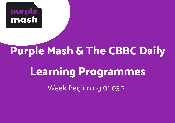

## **Purple Mash & The CBBC Daily**

# **Learning Programmes**

Week Beginning 01.03.21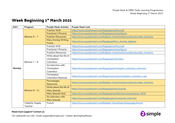### **Week Beginning 1st March 2021**

| <b>DAY</b> | Program          | <b>Purple Mash Activity</b> | <b>Purple Mash Link</b>                                                |
|------------|------------------|-----------------------------|------------------------------------------------------------------------|
|            | Bitesize $5 - 7$ | <b>Fraction Wall</b>        | https://www.purplemash.com/#app/games/fracwall                         |
|            |                  | Fractonio's Pizzeria        | https://www.purplemash.com/#app/games/mg2/pizza                        |
|            |                  | <b>Fraction Resources</b>   | https://www.purplemash.com/#tab/pm-home/maths/numbers/number_fractions |
|            |                  | <b>Mary Anning Writing</b>  | https://www.purplemash.com/#app/pup/Mary_Anning_allabout               |
|            |                  | Frame                       |                                                                        |
|            |                  | <b>Fraction Wall</b>        | https://www.purplemash.com/#app/games/fracwall                         |
|            |                  | Fractonio's Pizzeria        | https://www.purplemash.com/#app/games/mg2/pizza                        |
|            |                  | <b>Fraction Resources</b>   | https://www.purplemash.com/#tab/pm-home/maths/numbers/number_fractions |
|            |                  | Write about the life of     |                                                                        |
|            |                  | Christopher                 | https://www.purplemash.com/#app/pup/Columbus                           |
|            | Bitesize $7 - 9$ | Columbus                    |                                                                        |
|            |                  | An interview with           |                                                                        |
| Monday     |                  | Christopher                 | https://www.purplemash.com/#app/pup/christopher_columbus_interview     |
|            |                  | Columbus                    |                                                                        |
|            |                  | Christopher                 | https://www.purplemash.com/#app/mashcam/christopher_columbus_cam       |
|            |                  | Columbus Mashcam            |                                                                        |
|            | Bitesize 9 - 11  | Percentages                 | https://www.purplemash.com/#tab/pm-home/maths/numbers/number_fractions |
|            |                  | <b>Resources</b>            |                                                                        |
|            |                  | Write about the life of     | https://www.purplemash.com/#app/pup/maryseacole                        |
|            |                  | <b>Mary Seacole</b>         |                                                                        |
|            |                  | <b>Mary Seacole Quiz</b>    | https://www.purplemash.com/#app/games/2diy/maryseacolequizz_NEW        |
|            |                  | An interview with           | https://www.purplemash.com/#app/pup/maryseacole_interview              |
|            |                  | <b>Mary Seacole</b>         |                                                                        |
|            | Celebrity Supply | French                      | https://www.purplemash.com/#tab/pm-home/topics/languages/french        |
|            | Teacher          |                             |                                                                        |

#### **Need more support? Contact us:**

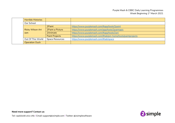|  | <b>Horrible Histories</b> |                        |                                                             |
|--|---------------------------|------------------------|-------------------------------------------------------------|
|  | Our School                |                        |                                                             |
|  |                           | 2Paint                 | https://www.purplemash.com/#app/tools/2paint                |
|  | <b>Ricky Wilson Art</b>   | 2Paint a Picture       | https://www.purplemash.com/app/tools/2paintapic             |
|  | Jam                       | 2Animate               | https://www.purplemash.com/#app/tools/2ani                  |
|  |                           | <b>Paint Projects</b>  | https://www.purplemash.com/#tab/pm-home/tools/paintprojects |
|  | Out Of This World         | <b>Space Resources</b> | https://www.purplemash.com/#tab/space                       |
|  | <b>Operation Ouch</b>     |                        |                                                             |

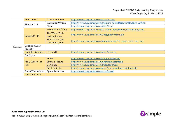|         | Bitesize $5 - 7$               | <b>Oceans and Seas</b>     | https://www.purplemash.com/#tab/oceans                               |
|---------|--------------------------------|----------------------------|----------------------------------------------------------------------|
|         | Bitesize 7 - 9                 | <b>Instruction Writing</b> | https://www.purplemash.com/#tab/pm-home/literacy/instruction_writing |
|         |                                | <b>Rivers</b>              | https://www.purplemash.com/#tab/rivers                               |
|         |                                | <b>Information Writing</b> | https://www.purplemash.com/#tab/pm-home/literacy/information_texts   |
|         |                                | The Water Cycle            | https://www.purplemash.com/#app/pup/watercycle                       |
|         | Bitesize 9 - 11                | <b>Writing Frame</b>       |                                                                      |
|         |                                | The Water Cycle            | https://www.purplemash.com/#app/devtray/The_water_cycle_dev_tray     |
|         |                                | <b>Developing Tray</b>     |                                                                      |
| Tuesday | Celebrity Supply               |                            |                                                                      |
|         | Teacher                        |                            |                                                                      |
|         | <b>Horrible Histories</b>      | <b>Henry VIII</b>          | https://www.purplemash.com/#tab/henryviii                            |
|         | Our School                     |                            |                                                                      |
|         | <b>Ricky Wilson Art</b><br>Jam | 2Paint                     | https://www.purplemash.com/#app/tools/2paint                         |
|         |                                | 2Paint a Picture           | https://www.purplemash.com/app/tools/2paintapic                      |
|         |                                | 2Animate                   | https://www.purplemash.com/#app/tools/2ani                           |
|         |                                | <b>Paint Projects</b>      | https://www.purplemash.com/#tab/pm-home/tools/paintprojects          |
|         | Out Of This World              | <b>Space Resources</b>     | https://www.purplemash.com/#tab/space                                |
|         | <b>Operation Ouch</b>          |                            |                                                                      |

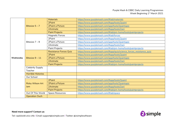|           |                                | <b>Materials</b>              |                                                                     |
|-----------|--------------------------------|-------------------------------|---------------------------------------------------------------------|
|           | Bitesize $5 - 7$               |                               | https://www.purplemash.com/#tab/materials                           |
|           |                                | 2Paint                        | https://www.purplemash.com/#app/tools/2paint                        |
|           |                                | 2Paint a Picture              | https://www.purplemash.com/app/tools/2paintapic                     |
|           |                                | 2Animate                      | https://www.purplemash.com/#app/tools/2ani                          |
|           |                                | <b>Paint Projects</b>         | https://www.purplemash.com/#tab/pm-home/tools/paintprojects         |
|           | Bitesize 7 - 9                 | Magnetic Forces               | https://www.purplemash.com/#tab/forces                              |
|           |                                | 2Paint                        | https://www.purplemash.com/#app/tools/2paint                        |
|           |                                | 2Paint a Picture              | https://www.purplemash.com/app/tools/2paintapic                     |
|           |                                | 2Animate                      | https://www.purplemash.com/#app/tools/2ani                          |
|           |                                | Paint Projects                | https://www.purplemash.com/#tab/pm-home/tools/paintprojects         |
|           | Bitesize 9 - 11                | <b>Resistance Forces Quiz</b> | https://www.purplemash.com/#app/quiz/science_forces_resistance_quiz |
|           |                                | 2Paint                        | https://www.purplemash.com/#app/tools/2paint                        |
| Wednesday |                                | 2Paint a Picture              | https://www.purplemash.com/app/tools/2paintapic                     |
|           |                                | 2Animate                      | https://www.purplemash.com/#app/tools/2ani                          |
|           |                                | <b>Paint Projects</b>         | https://www.purplemash.com/#tab/pm-home/tools/paintprojects         |
|           | Celebrity Supply               |                               |                                                                     |
|           | Teacher                        |                               |                                                                     |
|           | <b>Horrible Histories</b>      |                               |                                                                     |
|           | Our School                     |                               |                                                                     |
|           | <b>Ricky Wilson Art</b><br>Jam | 2Paint                        | https://www.purplemash.com/#app/tools/2paint                        |
|           |                                | 2Paint a Picture              | https://www.purplemash.com/app/tools/2paintapic                     |
|           |                                | 2Animate                      | https://www.purplemash.com/#app/tools/2ani                          |
|           |                                | <b>Paint Projects</b>         | https://www.purplemash.com/#tab/pm-home/tools/paintprojects         |
|           | Out Of This World              | <b>Space Resources</b>        | https://www.purplemash.com/#tab/space                               |
|           | <b>Operation Ouch</b>          |                               |                                                                     |

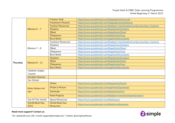|          | Bitesize $5 - 7$               | <b>Fraction Wall</b>                      | https://www.purplemash.com/#app/games/fracwall                         |
|----------|--------------------------------|-------------------------------------------|------------------------------------------------------------------------|
|          |                                | Fractonio's Pizzeria                      | https://www.purplemash.com/#app/games/mg2/pizza                        |
|          |                                | <b>Fraction Resources</b>                 | https://www.purplemash.com/#tab/pm-home/maths/numbers/number_fractions |
|          |                                | 2Explore                                  | https://www.purplemash.com/#app/tools/2explore                         |
|          |                                | 2Beat                                     | https://www.purplemash.com/#app/tools/2beat                            |
|          |                                | 2Sequence                                 | https://www.purplemash.com/#app/tools/2seq                             |
|          |                                | <b>Busy Beats</b>                         | https://www.purplemash.com/app/tools/busybeats                         |
|          |                                | <b>Fractions Resources</b>                | https://www.purplemash.com/#tab/pm-home/maths/numbers/number_fractions |
|          |                                | 2Explore                                  | https://www.purplemash.com/#app/tools/2explore                         |
|          | Bitesize $7 - 9$               | 2Beat                                     | https://www.purplemash.com/#app/tools/2beat                            |
|          |                                | 2Sequence                                 | https://www.purplemash.com/#app/tools/2seq                             |
|          |                                | <b>Busy Beats</b>                         | https://www.purplemash.com/app/tools/busybeats                         |
|          |                                | 2Explore                                  | https://www.purplemash.com/#app/tools/2explore                         |
| Thursday | Bitesize 9 - 11                | 2Beat                                     | https://www.purplemash.com/#app/tools/2beat                            |
|          |                                | 2Sequence                                 | https://www.purplemash.com/#app/tools/2seq                             |
|          |                                | <b>Busy Beats</b>                         | https://www.purplemash.com/app/tools/busybeats                         |
|          | <b>Celebrity Supply</b>        |                                           |                                                                        |
|          | Teacher                        |                                           |                                                                        |
|          | <b>Horrible Histories</b>      |                                           |                                                                        |
|          | Our School                     |                                           |                                                                        |
|          | <b>Ricky Wilson Art</b><br>Jam | 2Paint                                    | https://www.purplemash.com/#app/tools/2paint                           |
|          |                                | 2Paint a Picture                          | https://www.purplemash.com/app/tools/2paintapic                        |
|          |                                | 2Animate                                  | https://www.purplemash.com/#app/tools/2ani                             |
|          |                                | <b>Paint Projects</b>                     | https://www.purplemash.com/#tab/pm-home/tools/paintprojects            |
|          | Out Of This World              | <b>Space Resources</b>                    | https://www.purplemash.com/#tab/space                                  |
|          | <b>World Book Day</b><br>2021  | <b>World Book Day</b><br><b>Resources</b> | https://www.purplemash.com/#tab/worldbookday                           |

#### **Need more support? Contact us:**